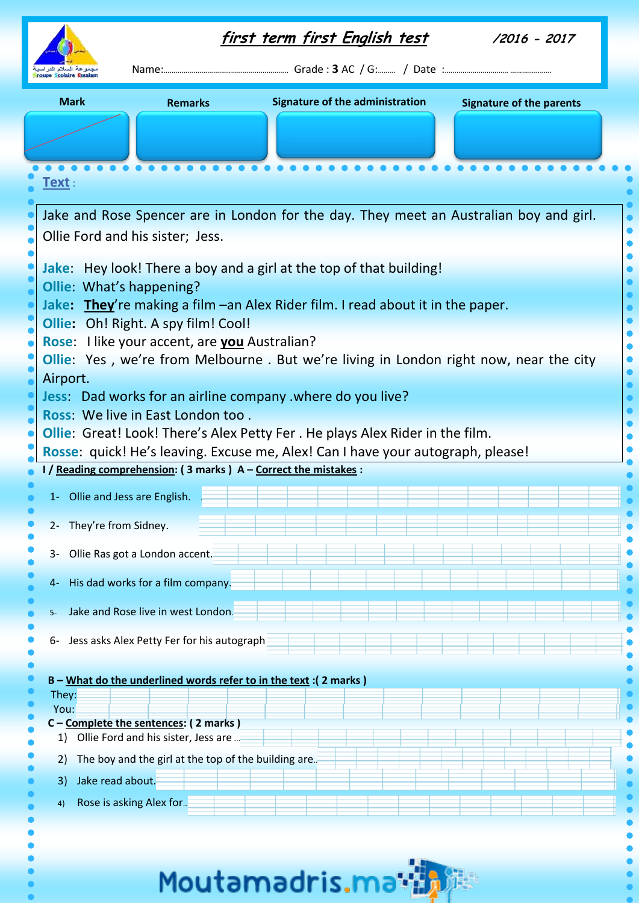|                                                                                                                                                                         |                                                                               | <u>first term first English test</u>                              | /2016 - 2017                    |  |  |  |  |  |
|-------------------------------------------------------------------------------------------------------------------------------------------------------------------------|-------------------------------------------------------------------------------|-------------------------------------------------------------------|---------------------------------|--|--|--|--|--|
| <b>Mark</b>                                                                                                                                                             | <b>Remarks</b>                                                                | <b>Signature of the administration</b>                            | <b>Signature of the parents</b> |  |  |  |  |  |
|                                                                                                                                                                         |                                                                               |                                                                   |                                 |  |  |  |  |  |
| <u>Fext :</u>                                                                                                                                                           |                                                                               |                                                                   |                                 |  |  |  |  |  |
| Jake and Rose Spencer are in London for the day. They meet an Australian boy and girl.                                                                                  |                                                                               |                                                                   |                                 |  |  |  |  |  |
| Ollie Ford and his sister; Jess.                                                                                                                                        |                                                                               |                                                                   |                                 |  |  |  |  |  |
| Jake: Hey look! There a boy and a girl at the top of that building!<br>Ollie: What's happening?                                                                         |                                                                               |                                                                   |                                 |  |  |  |  |  |
| Jake: They're making a film - an Alex Rider film. I read about it in the paper.<br>Ollie: Oh! Right. A spy film! Cool!                                                  |                                                                               |                                                                   |                                 |  |  |  |  |  |
| Rose: I like your accent, are you Australian?                                                                                                                           |                                                                               |                                                                   |                                 |  |  |  |  |  |
| <b>Ollie:</b> Yes, we're from Melbourne. But we're living in London right now, near the city<br>Airport.                                                                |                                                                               |                                                                   |                                 |  |  |  |  |  |
| Jess: Dad works for an airline company . where do you live?<br>Ross: We live in East London too.                                                                        |                                                                               |                                                                   |                                 |  |  |  |  |  |
| <b>Ollie:</b> Great! Look! There's Alex Petty Fer . He plays Alex Rider in the film.<br>Rosse: quick! He's leaving. Excuse me, Alex! Can I have your autograph, please! |                                                                               |                                                                   |                                 |  |  |  |  |  |
|                                                                                                                                                                         | I / Reading comprehension: (3 marks) A - Correct the mistakes :               |                                                                   |                                 |  |  |  |  |  |
| 1- Ollie and Jess are English.                                                                                                                                          |                                                                               |                                                                   |                                 |  |  |  |  |  |
| They're from Sidney.<br>$2 -$<br>$3-$                                                                                                                                   | Ollie Ras got a London accent.                                                |                                                                   |                                 |  |  |  |  |  |
| 4-                                                                                                                                                                      | His dad works for a film company.                                             |                                                                   |                                 |  |  |  |  |  |
| $5-$                                                                                                                                                                    | Jake and Rose live in west London.                                            |                                                                   |                                 |  |  |  |  |  |
| 6-                                                                                                                                                                      | Jess asks Alex Petty Fer for his autograph                                    |                                                                   |                                 |  |  |  |  |  |
|                                                                                                                                                                         |                                                                               | B - What do the underlined words refer to in the text : (2 marks) |                                 |  |  |  |  |  |
| They:<br>You:                                                                                                                                                           |                                                                               |                                                                   |                                 |  |  |  |  |  |
| 1)                                                                                                                                                                      | C - Complete the sentences: (2 marks)<br>Ollie Ford and his sister, Jess are. |                                                                   |                                 |  |  |  |  |  |
| 2)<br>Jake read about.<br>3)                                                                                                                                            | The boy and the girl at the top of the building are                           |                                                                   |                                 |  |  |  |  |  |
| 4)                                                                                                                                                                      | Rose is asking Alex for                                                       |                                                                   |                                 |  |  |  |  |  |
|                                                                                                                                                                         |                                                                               |                                                                   |                                 |  |  |  |  |  |

Moutamadris.math